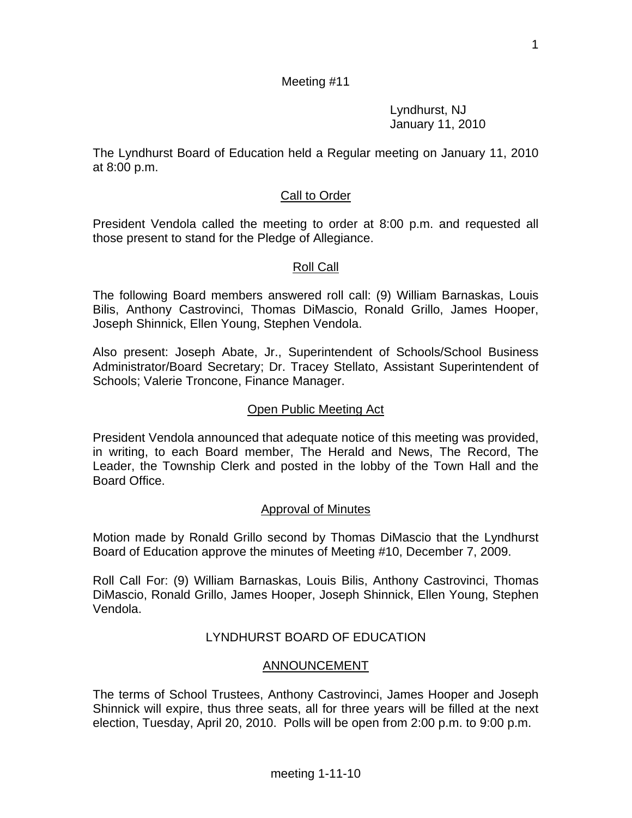1

## Meeting #11

 Lyndhurst, NJ January 11, 2010

The Lyndhurst Board of Education held a Regular meeting on January 11, 2010 at 8:00 p.m.

## Call to Order

President Vendola called the meeting to order at 8:00 p.m. and requested all those present to stand for the Pledge of Allegiance.

## Roll Call

The following Board members answered roll call: (9) William Barnaskas, Louis Bilis, Anthony Castrovinci, Thomas DiMascio, Ronald Grillo, James Hooper, Joseph Shinnick, Ellen Young, Stephen Vendola.

Also present: Joseph Abate, Jr., Superintendent of Schools/School Business Administrator/Board Secretary; Dr. Tracey Stellato, Assistant Superintendent of Schools; Valerie Troncone, Finance Manager.

#### Open Public Meeting Act

President Vendola announced that adequate notice of this meeting was provided, in writing, to each Board member, The Herald and News, The Record, The Leader, the Township Clerk and posted in the lobby of the Town Hall and the Board Office.

## Approval of Minutes

Motion made by Ronald Grillo second by Thomas DiMascio that the Lyndhurst Board of Education approve the minutes of Meeting #10, December 7, 2009.

Roll Call For: (9) William Barnaskas, Louis Bilis, Anthony Castrovinci, Thomas DiMascio, Ronald Grillo, James Hooper, Joseph Shinnick, Ellen Young, Stephen Vendola.

# LYNDHURST BOARD OF EDUCATION

## ANNOUNCEMENT

The terms of School Trustees, Anthony Castrovinci, James Hooper and Joseph Shinnick will expire, thus three seats, all for three years will be filled at the next election, Tuesday, April 20, 2010. Polls will be open from 2:00 p.m. to 9:00 p.m.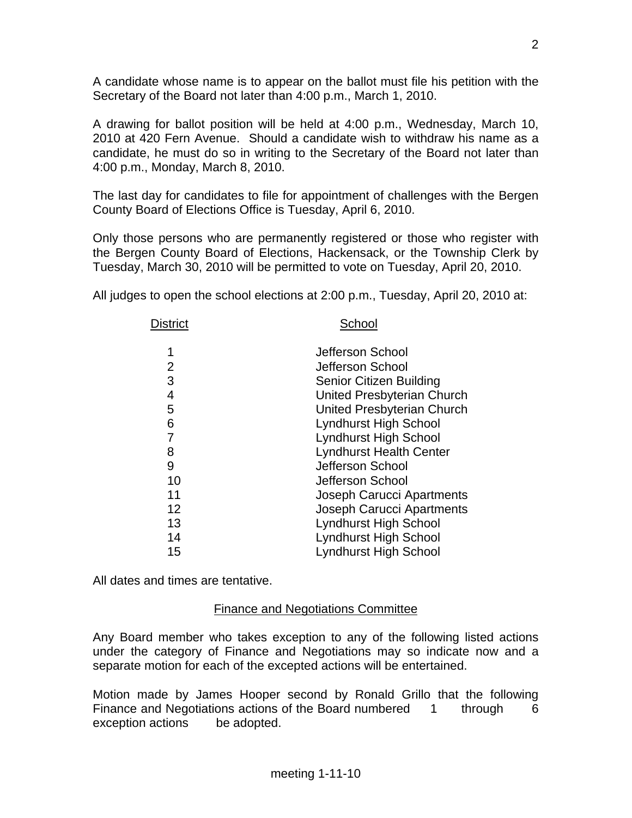A candidate whose name is to appear on the ballot must file his petition with the Secretary of the Board not later than 4:00 p.m., March 1, 2010.

A drawing for ballot position will be held at 4:00 p.m., Wednesday, March 10, 2010 at 420 Fern Avenue. Should a candidate wish to withdraw his name as a candidate, he must do so in writing to the Secretary of the Board not later than 4:00 p.m., Monday, March 8, 2010.

The last day for candidates to file for appointment of challenges with the Bergen County Board of Elections Office is Tuesday, April 6, 2010.

Only those persons who are permanently registered or those who register with the Bergen County Board of Elections, Hackensack, or the Township Clerk by Tuesday, March 30, 2010 will be permitted to vote on Tuesday, April 20, 2010.

All judges to open the school elections at 2:00 p.m., Tuesday, April 20, 2010 at:

| District | School                         |
|----------|--------------------------------|
| 1        | Jefferson School               |
| 2        | Jefferson School               |
| 3        | <b>Senior Citizen Building</b> |
| 4        | United Presbyterian Church     |
| 5        | United Presbyterian Church     |
| 6        | Lyndhurst High School          |
|          | Lyndhurst High School          |
| 8        | <b>Lyndhurst Health Center</b> |
| 9        | Jefferson School               |
| 10       | Jefferson School               |
| 11       | Joseph Carucci Apartments      |
| 12       | Joseph Carucci Apartments      |
| 13       | <b>Lyndhurst High School</b>   |
| 14       | Lyndhurst High School          |
| 15       | <b>Lyndhurst High School</b>   |

All dates and times are tentative.

## Finance and Negotiations Committee

Any Board member who takes exception to any of the following listed actions under the category of Finance and Negotiations may so indicate now and a separate motion for each of the excepted actions will be entertained.

Motion made by James Hooper second by Ronald Grillo that the following Finance and Negotiations actions of the Board numbered 1 through 6 exception actions be adopted.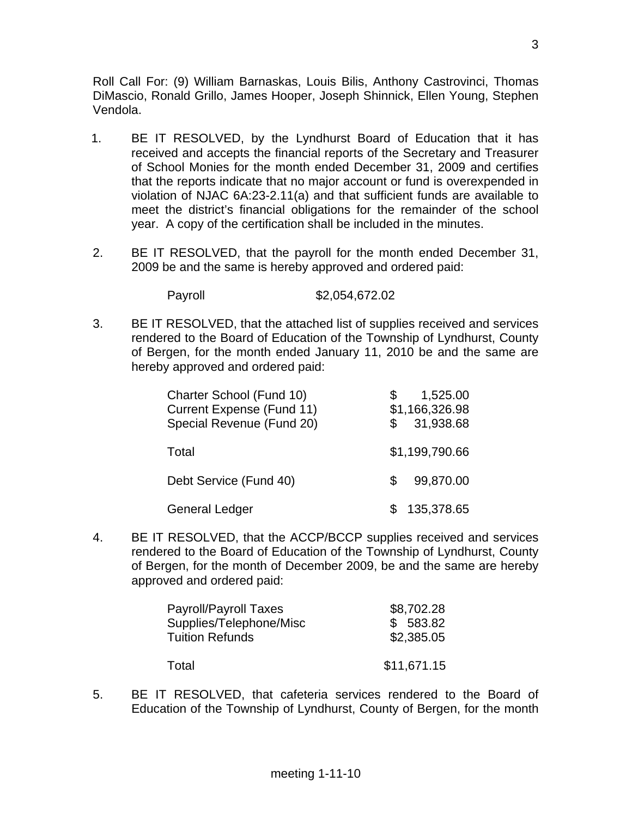Roll Call For: (9) William Barnaskas, Louis Bilis, Anthony Castrovinci, Thomas DiMascio, Ronald Grillo, James Hooper, Joseph Shinnick, Ellen Young, Stephen Vendola.

- 1. BE IT RESOLVED, by the Lyndhurst Board of Education that it has received and accepts the financial reports of the Secretary and Treasurer of School Monies for the month ended December 31, 2009 and certifies that the reports indicate that no major account or fund is overexpended in violation of NJAC 6A:23-2.11(a) and that sufficient funds are available to meet the district's financial obligations for the remainder of the school year. A copy of the certification shall be included in the minutes.
- 2. BE IT RESOLVED, that the payroll for the month ended December 31, 2009 be and the same is hereby approved and ordered paid:

Payroll \$2,054,672.02

3. BE IT RESOLVED, that the attached list of supplies received and services rendered to the Board of Education of the Township of Lyndhurst, County of Bergen, for the month ended January 11, 2010 be and the same are hereby approved and ordered paid:

| Charter School (Fund 10)<br><b>Current Expense (Fund 11)</b><br>Special Revenue (Fund 20) |    | 1,525.00<br>\$1,166,326.98<br>31,938.68 |
|-------------------------------------------------------------------------------------------|----|-----------------------------------------|
| Total                                                                                     |    | \$1,199,790.66                          |
| Debt Service (Fund 40)                                                                    | S. | 99,870.00                               |
| <b>General Ledger</b>                                                                     |    | 135,378.65                              |

4. BE IT RESOLVED, that the ACCP/BCCP supplies received and services rendered to the Board of Education of the Township of Lyndhurst, County of Bergen, for the month of December 2009, be and the same are hereby approved and ordered paid:

| Payroll/Payroll Taxes   | \$8,702.28  |
|-------------------------|-------------|
| Supplies/Telephone/Misc | \$583.82    |
| <b>Tuition Refunds</b>  | \$2,385.05  |
| Total                   | \$11,671.15 |

5. BE IT RESOLVED, that cafeteria services rendered to the Board of Education of the Township of Lyndhurst, County of Bergen, for the month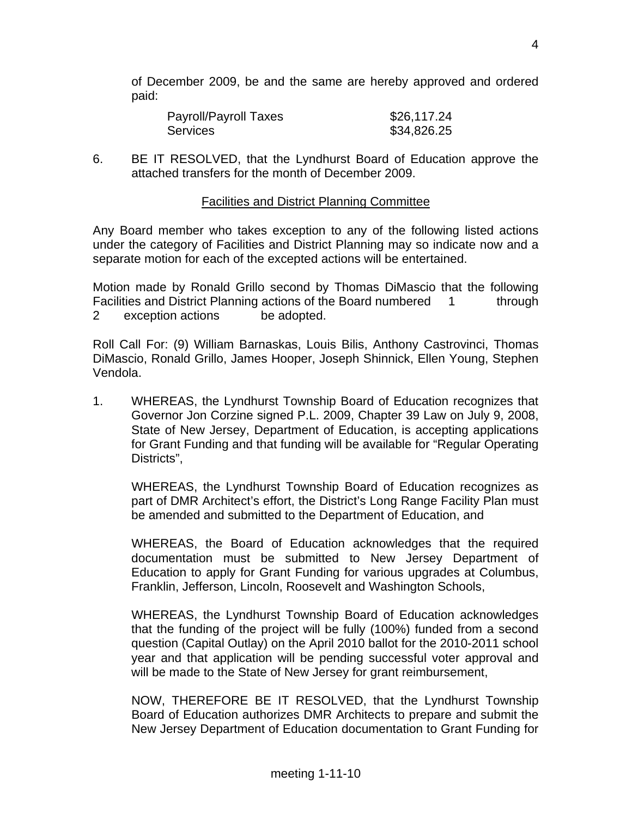of December 2009, be and the same are hereby approved and ordered paid:

| Payroll/Payroll Taxes | \$26,117.24 |
|-----------------------|-------------|
| <b>Services</b>       | \$34,826.25 |

6. BE IT RESOLVED, that the Lyndhurst Board of Education approve the attached transfers for the month of December 2009.

#### Facilities and District Planning Committee

Any Board member who takes exception to any of the following listed actions under the category of Facilities and District Planning may so indicate now and a separate motion for each of the excepted actions will be entertained.

Motion made by Ronald Grillo second by Thomas DiMascio that the following Facilities and District Planning actions of the Board numbered 1 through 2 exception actions be adopted.

Roll Call For: (9) William Barnaskas, Louis Bilis, Anthony Castrovinci, Thomas DiMascio, Ronald Grillo, James Hooper, Joseph Shinnick, Ellen Young, Stephen Vendola.

1. WHEREAS, the Lyndhurst Township Board of Education recognizes that Governor Jon Corzine signed P.L. 2009, Chapter 39 Law on July 9, 2008, State of New Jersey, Department of Education, is accepting applications for Grant Funding and that funding will be available for "Regular Operating Districts",

 WHEREAS, the Lyndhurst Township Board of Education recognizes as part of DMR Architect's effort, the District's Long Range Facility Plan must be amended and submitted to the Department of Education, and

 WHEREAS, the Board of Education acknowledges that the required documentation must be submitted to New Jersey Department of Education to apply for Grant Funding for various upgrades at Columbus, Franklin, Jefferson, Lincoln, Roosevelt and Washington Schools,

 WHEREAS, the Lyndhurst Township Board of Education acknowledges that the funding of the project will be fully (100%) funded from a second question (Capital Outlay) on the April 2010 ballot for the 2010-2011 school year and that application will be pending successful voter approval and will be made to the State of New Jersey for grant reimbursement,

 NOW, THEREFORE BE IT RESOLVED, that the Lyndhurst Township Board of Education authorizes DMR Architects to prepare and submit the New Jersey Department of Education documentation to Grant Funding for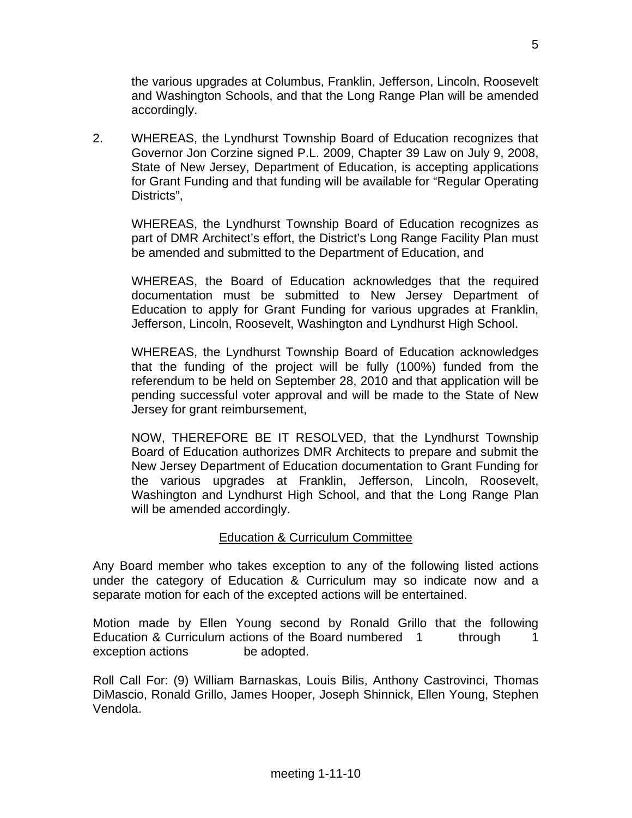the various upgrades at Columbus, Franklin, Jefferson, Lincoln, Roosevelt and Washington Schools, and that the Long Range Plan will be amended accordingly.

2. WHEREAS, the Lyndhurst Township Board of Education recognizes that Governor Jon Corzine signed P.L. 2009, Chapter 39 Law on July 9, 2008, State of New Jersey, Department of Education, is accepting applications for Grant Funding and that funding will be available for "Regular Operating Districts".

 WHEREAS, the Lyndhurst Township Board of Education recognizes as part of DMR Architect's effort, the District's Long Range Facility Plan must be amended and submitted to the Department of Education, and

 WHEREAS, the Board of Education acknowledges that the required documentation must be submitted to New Jersey Department of Education to apply for Grant Funding for various upgrades at Franklin, Jefferson, Lincoln, Roosevelt, Washington and Lyndhurst High School.

 WHEREAS, the Lyndhurst Township Board of Education acknowledges that the funding of the project will be fully (100%) funded from the referendum to be held on September 28, 2010 and that application will be pending successful voter approval and will be made to the State of New Jersey for grant reimbursement,

 NOW, THEREFORE BE IT RESOLVED, that the Lyndhurst Township Board of Education authorizes DMR Architects to prepare and submit the New Jersey Department of Education documentation to Grant Funding for the various upgrades at Franklin, Jefferson, Lincoln, Roosevelt, Washington and Lyndhurst High School, and that the Long Range Plan will be amended accordingly.

# Education & Curriculum Committee

Any Board member who takes exception to any of the following listed actions under the category of Education & Curriculum may so indicate now and a separate motion for each of the excepted actions will be entertained.

Motion made by Ellen Young second by Ronald Grillo that the following Education & Curriculum actions of the Board numbered 1 through 1 exception actions be adopted.

Roll Call For: (9) William Barnaskas, Louis Bilis, Anthony Castrovinci, Thomas DiMascio, Ronald Grillo, James Hooper, Joseph Shinnick, Ellen Young, Stephen Vendola.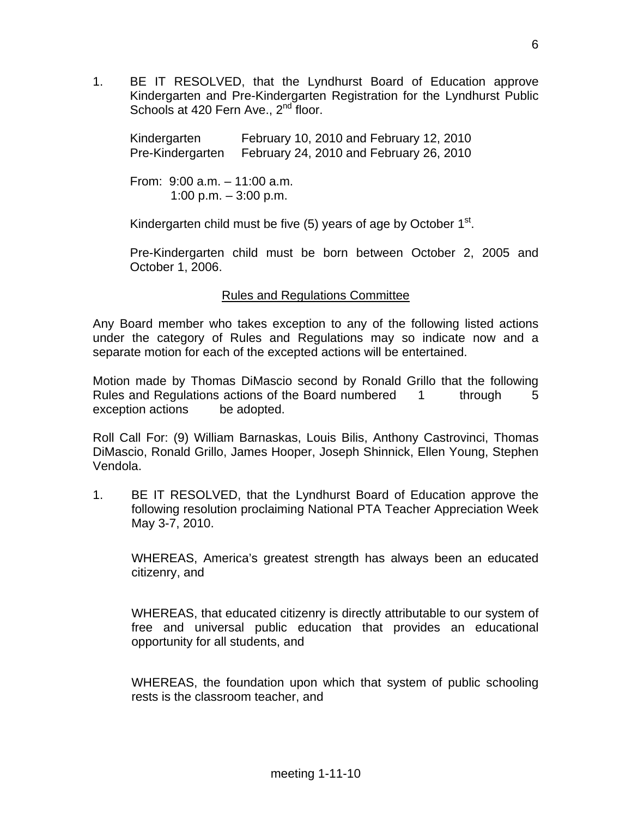1. BE IT RESOLVED, that the Lyndhurst Board of Education approve Kindergarten and Pre-Kindergarten Registration for the Lyndhurst Public Schools at 420 Fern Ave., 2<sup>nd</sup> floor.

 Kindergarten February 10, 2010 and February 12, 2010 Pre-Kindergarten February 24, 2010 and February 26, 2010

 From: 9:00 a.m. – 11:00 a.m. 1:00 p.m. – 3:00 p.m.

Kindergarten child must be five  $(5)$  years of age by October  $1<sup>st</sup>$ .

 Pre-Kindergarten child must be born between October 2, 2005 and October 1, 2006.

## Rules and Regulations Committee

Any Board member who takes exception to any of the following listed actions under the category of Rules and Regulations may so indicate now and a separate motion for each of the excepted actions will be entertained.

Motion made by Thomas DiMascio second by Ronald Grillo that the following Rules and Regulations actions of the Board numbered 1 through 5 exception actions be adopted.

Roll Call For: (9) William Barnaskas, Louis Bilis, Anthony Castrovinci, Thomas DiMascio, Ronald Grillo, James Hooper, Joseph Shinnick, Ellen Young, Stephen Vendola.

1. BE IT RESOLVED, that the Lyndhurst Board of Education approve the following resolution proclaiming National PTA Teacher Appreciation Week May 3-7, 2010.

 WHEREAS, America's greatest strength has always been an educated citizenry, and

 WHEREAS, that educated citizenry is directly attributable to our system of free and universal public education that provides an educational opportunity for all students, and

 WHEREAS, the foundation upon which that system of public schooling rests is the classroom teacher, and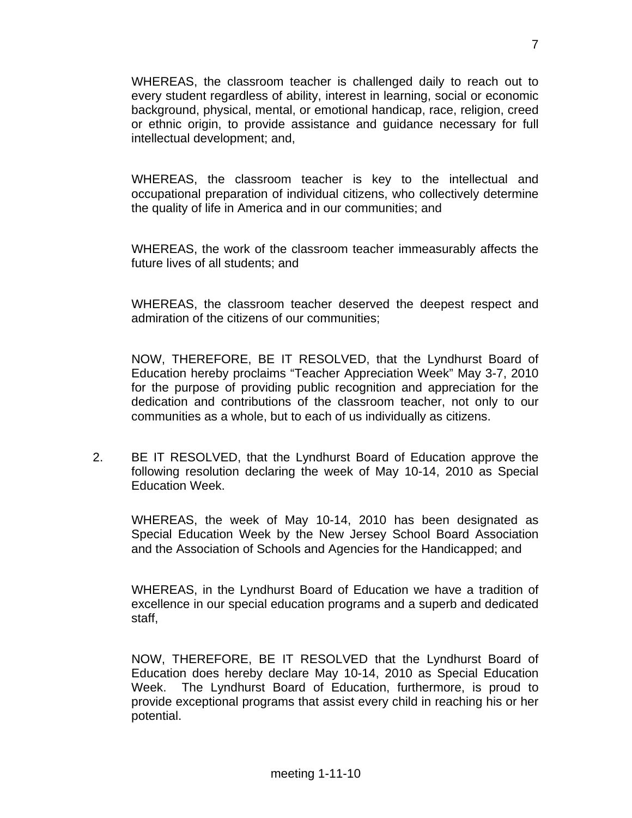WHEREAS, the classroom teacher is challenged daily to reach out to every student regardless of ability, interest in learning, social or economic background, physical, mental, or emotional handicap, race, religion, creed or ethnic origin, to provide assistance and guidance necessary for full intellectual development; and,

 WHEREAS, the classroom teacher is key to the intellectual and occupational preparation of individual citizens, who collectively determine the quality of life in America and in our communities; and

 WHEREAS, the work of the classroom teacher immeasurably affects the future lives of all students; and

 WHEREAS, the classroom teacher deserved the deepest respect and admiration of the citizens of our communities;

 NOW, THEREFORE, BE IT RESOLVED, that the Lyndhurst Board of Education hereby proclaims "Teacher Appreciation Week" May 3-7, 2010 for the purpose of providing public recognition and appreciation for the dedication and contributions of the classroom teacher, not only to our communities as a whole, but to each of us individually as citizens.

2. BE IT RESOLVED, that the Lyndhurst Board of Education approve the following resolution declaring the week of May 10-14, 2010 as Special Education Week.

 WHEREAS, the week of May 10-14, 2010 has been designated as Special Education Week by the New Jersey School Board Association and the Association of Schools and Agencies for the Handicapped; and

 WHEREAS, in the Lyndhurst Board of Education we have a tradition of excellence in our special education programs and a superb and dedicated staff,

 NOW, THEREFORE, BE IT RESOLVED that the Lyndhurst Board of Education does hereby declare May 10-14, 2010 as Special Education Week. The Lyndhurst Board of Education, furthermore, is proud to provide exceptional programs that assist every child in reaching his or her potential.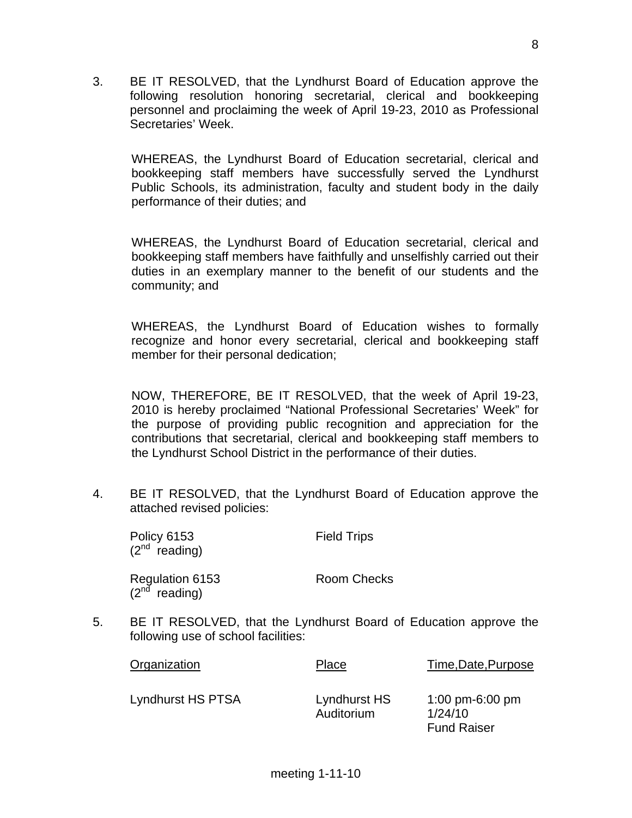3. BE IT RESOLVED, that the Lyndhurst Board of Education approve the following resolution honoring secretarial, clerical and bookkeeping personnel and proclaiming the week of April 19-23, 2010 as Professional Secretaries' Week.

 WHEREAS, the Lyndhurst Board of Education secretarial, clerical and bookkeeping staff members have successfully served the Lyndhurst Public Schools, its administration, faculty and student body in the daily performance of their duties; and

 WHEREAS, the Lyndhurst Board of Education secretarial, clerical and bookkeeping staff members have faithfully and unselfishly carried out their duties in an exemplary manner to the benefit of our students and the community; and

 WHEREAS, the Lyndhurst Board of Education wishes to formally recognize and honor every secretarial, clerical and bookkeeping staff member for their personal dedication;

 NOW, THEREFORE, BE IT RESOLVED, that the week of April 19-23, 2010 is hereby proclaimed "National Professional Secretaries' Week" for the purpose of providing public recognition and appreciation for the contributions that secretarial, clerical and bookkeeping staff members to the Lyndhurst School District in the performance of their duties.

4. BE IT RESOLVED, that the Lyndhurst Board of Education approve the attached revised policies:

| <b>Policy 6153</b><br>$(2^{nd}$ reading) | <b>Field Trips</b> |
|------------------------------------------|--------------------|
| Regulation 6153<br>( $2nd$ reading)      | Room Checks        |

5. BE IT RESOLVED, that the Lyndhurst Board of Education approve the following use of school facilities:

| Organization      | Place                      | Time, Date, Purpose                              |
|-------------------|----------------------------|--------------------------------------------------|
| Lyndhurst HS PTSA | Lyndhurst HS<br>Auditorium | 1:00 pm-6:00 pm<br>1/24/10<br><b>Fund Raiser</b> |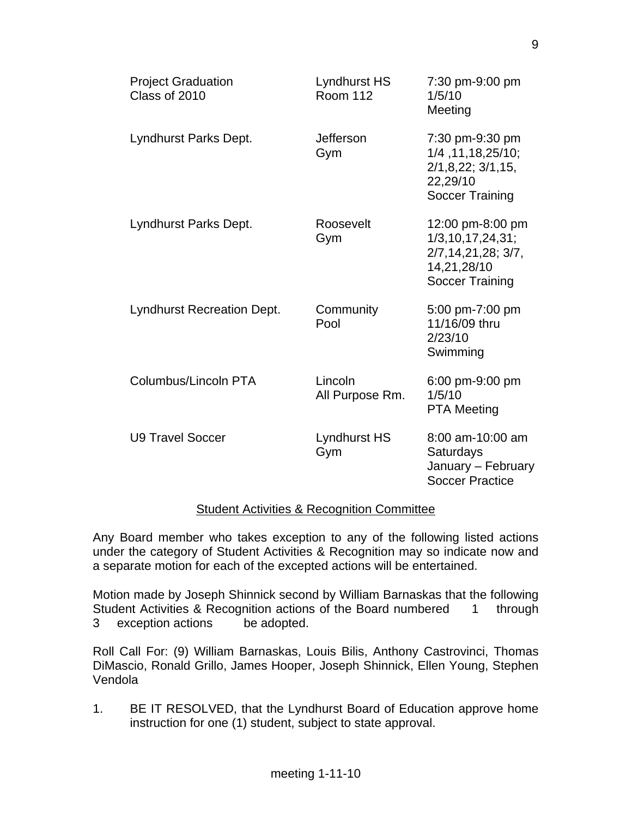| <b>Project Graduation</b><br>Class of 2010 | Lyndhurst HS<br><b>Room 112</b> | 7:30 pm-9:00 pm<br>1/5/10<br>Meeting                                                                |
|--------------------------------------------|---------------------------------|-----------------------------------------------------------------------------------------------------|
| Lyndhurst Parks Dept.                      | Jefferson<br>Gym                | 7:30 pm-9:30 pm<br>1/4, 11, 18, 25/10;<br>2/1,8,22;3/1,15,<br>22,29/10<br><b>Soccer Training</b>    |
| Lyndhurst Parks Dept.                      | Roosevelt<br>Gym                | 12:00 pm-8:00 pm<br>1/3, 10, 17, 24, 31;<br>2/7, 14, 21, 28; 3/7,<br>14,21,28/10<br>Soccer Training |
| <b>Lyndhurst Recreation Dept.</b>          | Community<br>Pool               | 5:00 pm-7:00 pm<br>11/16/09 thru<br>2/23/10<br>Swimming                                             |
| Columbus/Lincoln PTA                       | Lincoln<br>All Purpose Rm.      | 6:00 pm-9:00 pm<br>1/5/10<br><b>PTA Meeting</b>                                                     |
| <b>U9 Travel Soccer</b>                    | Lyndhurst HS<br>Gym             | 8:00 am-10:00 am<br>Saturdays<br>January - February<br><b>Soccer Practice</b>                       |

## Student Activities & Recognition Committee

Any Board member who takes exception to any of the following listed actions under the category of Student Activities & Recognition may so indicate now and a separate motion for each of the excepted actions will be entertained.

Motion made by Joseph Shinnick second by William Barnaskas that the following Student Activities & Recognition actions of the Board numbered 1 through 3 exception actions be adopted.

Roll Call For: (9) William Barnaskas, Louis Bilis, Anthony Castrovinci, Thomas DiMascio, Ronald Grillo, James Hooper, Joseph Shinnick, Ellen Young, Stephen Vendola

1. BE IT RESOLVED, that the Lyndhurst Board of Education approve home instruction for one (1) student, subject to state approval.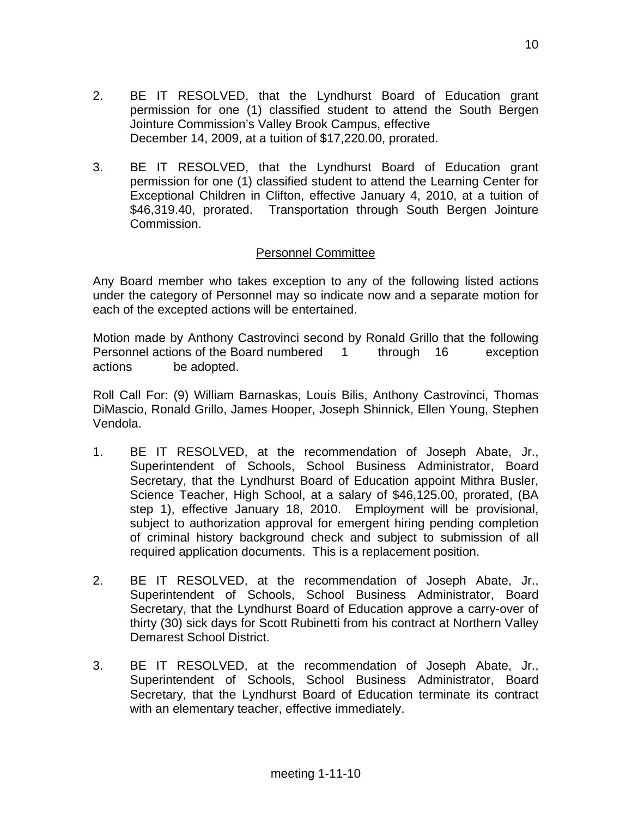- 2. BE IT RESOLVED, that the Lyndhurst Board of Education grant permission for one (1) classified student to attend the South Bergen Jointure Commission's Valley Brook Campus, effective December 14, 2009, at a tuition of \$17,220.00, prorated.
- 3. BE IT RESOLVED, that the Lyndhurst Board of Education grant permission for one (1) classified student to attend the Learning Center for Exceptional Children in Clifton, effective January 4, 2010, at a tuition of \$46,319.40, prorated. Transportation through South Bergen Jointure Commission.

# Personnel Committee

Any Board member who takes exception to any of the following listed actions under the category of Personnel may so indicate now and a separate motion for each of the excepted actions will be entertained.

Motion made by Anthony Castrovinci second by Ronald Grillo that the following Personnel actions of the Board numbered 1 through 16 exception actions be adopted.

Roll Call For: (9) William Barnaskas, Louis Bilis, Anthony Castrovinci, Thomas DiMascio, Ronald Grillo, James Hooper, Joseph Shinnick, Ellen Young, Stephen Vendola.

- 1. BE IT RESOLVED, at the recommendation of Joseph Abate, Jr., Superintendent of Schools, School Business Administrator, Board Secretary, that the Lyndhurst Board of Education appoint Mithra Busler, Science Teacher, High School, at a salary of \$46,125.00, prorated, (BA step 1), effective January 18, 2010. Employment will be provisional, subject to authorization approval for emergent hiring pending completion of criminal history background check and subject to submission of all required application documents. This is a replacement position.
- 2. BE IT RESOLVED, at the recommendation of Joseph Abate, Jr., Superintendent of Schools, School Business Administrator, Board Secretary, that the Lyndhurst Board of Education approve a carry-over of thirty (30) sick days for Scott Rubinetti from his contract at Northern Valley Demarest School District.
- 3. BE IT RESOLVED, at the recommendation of Joseph Abate, Jr., Superintendent of Schools, School Business Administrator, Board Secretary, that the Lyndhurst Board of Education terminate its contract with an elementary teacher, effective immediately.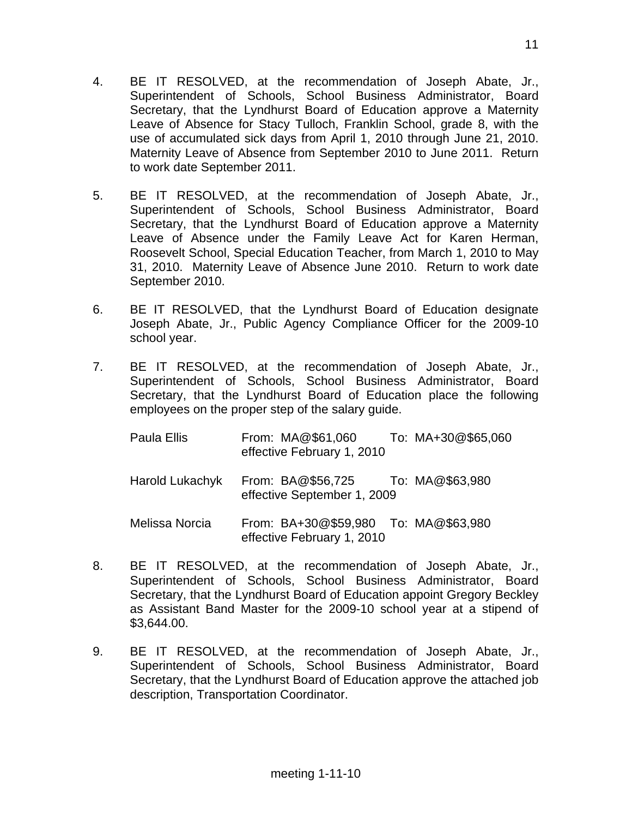- 4. BE IT RESOLVED, at the recommendation of Joseph Abate, Jr., Superintendent of Schools, School Business Administrator, Board Secretary, that the Lyndhurst Board of Education approve a Maternity Leave of Absence for Stacy Tulloch, Franklin School, grade 8, with the use of accumulated sick days from April 1, 2010 through June 21, 2010. Maternity Leave of Absence from September 2010 to June 2011. Return to work date September 2011.
- 5. BE IT RESOLVED, at the recommendation of Joseph Abate, Jr., Superintendent of Schools, School Business Administrator, Board Secretary, that the Lyndhurst Board of Education approve a Maternity Leave of Absence under the Family Leave Act for Karen Herman, Roosevelt School, Special Education Teacher, from March 1, 2010 to May 31, 2010. Maternity Leave of Absence June 2010. Return to work date September 2010.
- 6. BE IT RESOLVED, that the Lyndhurst Board of Education designate Joseph Abate, Jr., Public Agency Compliance Officer for the 2009-10 school year.
- 7. BE IT RESOLVED, at the recommendation of Joseph Abate, Jr., Superintendent of Schools, School Business Administrator, Board Secretary, that the Lyndhurst Board of Education place the following employees on the proper step of the salary guide.

| Paula Ellis     | From: MA@\$61,060<br>effective February 1, 2010                    | To: MA+30@\$65,060 |
|-----------------|--------------------------------------------------------------------|--------------------|
| Harold Lukachyk | From: BA@\$56,725 To: MA@\$63,980<br>effective September 1, 2009   |                    |
| Melissa Norcia  | From: BA+30@\$59,980 To: MA@\$63,980<br>effective February 1, 2010 |                    |

- 8. BE IT RESOLVED, at the recommendation of Joseph Abate, Jr., Superintendent of Schools, School Business Administrator, Board Secretary, that the Lyndhurst Board of Education appoint Gregory Beckley as Assistant Band Master for the 2009-10 school year at a stipend of \$3,644.00.
- 9. BE IT RESOLVED, at the recommendation of Joseph Abate, Jr., Superintendent of Schools, School Business Administrator, Board Secretary, that the Lyndhurst Board of Education approve the attached job description, Transportation Coordinator.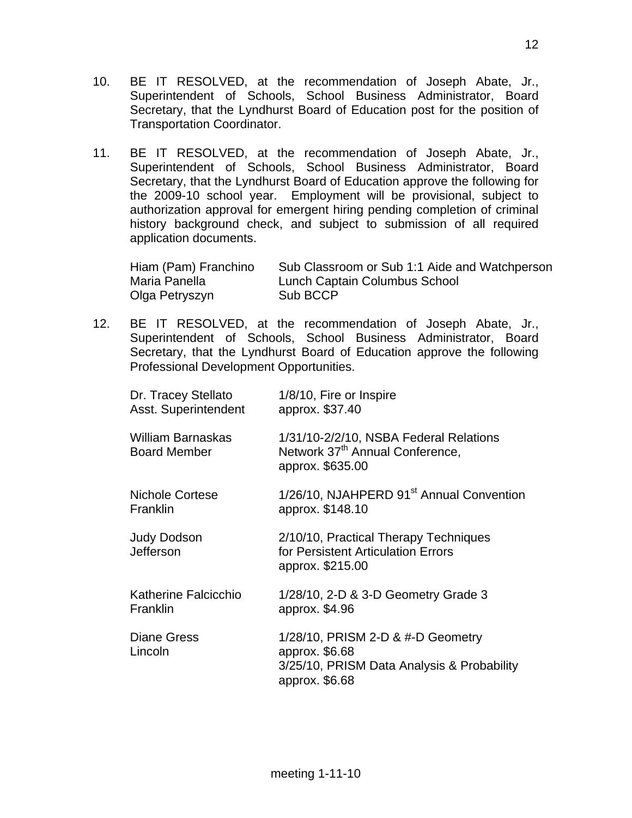- 10. BE IT RESOLVED, at the recommendation of Joseph Abate, Jr., Superintendent of Schools, School Business Administrator, Board Secretary, that the Lyndhurst Board of Education post for the position of Transportation Coordinator.
- 11. BE IT RESOLVED, at the recommendation of Joseph Abate, Jr., Superintendent of Schools, School Business Administrator, Board Secretary, that the Lyndhurst Board of Education approve the following for the 2009-10 school year. Employment will be provisional, subject to authorization approval for emergent hiring pending completion of criminal history background check, and subject to submission of all required application documents.

| Hiam (Pam) Franchino | Sub Classroom or Sub 1:1 Aide and Watchperson |
|----------------------|-----------------------------------------------|
| Maria Panella        | Lunch Captain Columbus School                 |
| Olga Petryszyn       | Sub BCCP                                      |

12. BE IT RESOLVED, at the recommendation of Joseph Abate, Jr., Superintendent of Schools, School Business Administrator, Board Secretary, that the Lyndhurst Board of Education approve the following Professional Development Opportunities.

| Dr. Tracey Stellato<br>Asst. Superintendent     | 1/8/10, Fire or Inspire<br>approx. \$37.40                                                                          |
|-------------------------------------------------|---------------------------------------------------------------------------------------------------------------------|
| <b>William Barnaskas</b><br><b>Board Member</b> | 1/31/10-2/2/10, NSBA Federal Relations<br>Network 37 <sup>th</sup> Annual Conference,<br>approx. \$635.00           |
| <b>Nichole Cortese</b><br>Franklin              | 1/26/10, NJAHPERD 91 <sup>st</sup> Annual Convention<br>approx. \$148.10                                            |
| <b>Judy Dodson</b><br><b>Jefferson</b>          | 2/10/10, Practical Therapy Techniques<br>for Persistent Articulation Errors<br>approx. \$215.00                     |
| Katherine Falcicchio<br>Franklin                | 1/28/10, 2-D & 3-D Geometry Grade 3<br>approx. \$4.96                                                               |
| <b>Diane Gress</b><br>Lincoln                   | 1/28/10, PRISM 2-D & #-D Geometry<br>approx. \$6.68<br>3/25/10, PRISM Data Analysis & Probability<br>approx. \$6.68 |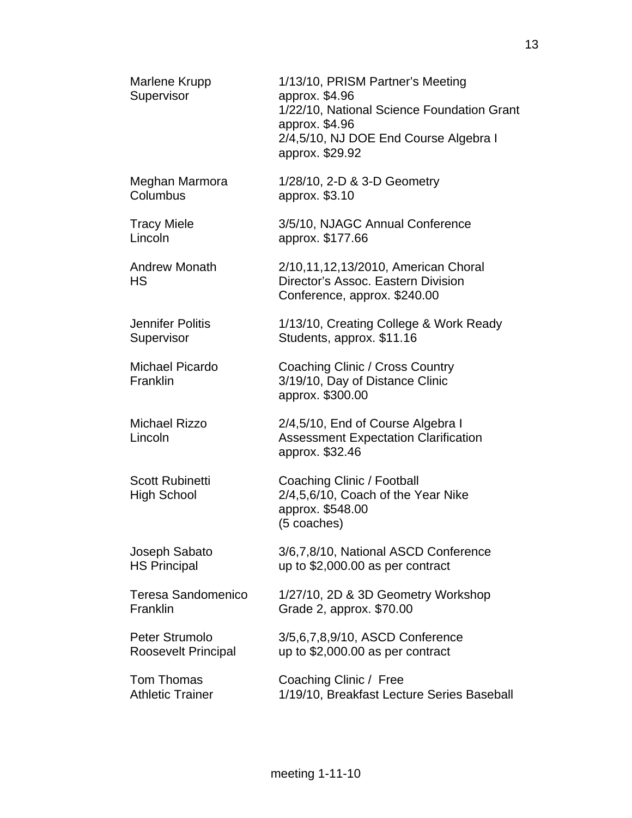| Marlene Krupp<br>Supervisor                  | 1/13/10, PRISM Partner's Meeting<br>approx. \$4.96<br>1/22/10, National Science Foundation Grant<br>approx. \$4.96<br>2/4,5/10, NJ DOE End Course Algebra I<br>approx. \$29.92 |
|----------------------------------------------|--------------------------------------------------------------------------------------------------------------------------------------------------------------------------------|
| Meghan Marmora<br>Columbus                   | 1/28/10, 2-D & 3-D Geometry<br>approx. \$3.10                                                                                                                                  |
| <b>Tracy Miele</b><br>Lincoln                | 3/5/10, NJAGC Annual Conference<br>approx. \$177.66                                                                                                                            |
| <b>Andrew Monath</b><br>HS                   | 2/10,11,12,13/2010, American Choral<br>Director's Assoc. Eastern Division<br>Conference, approx. \$240.00                                                                      |
| <b>Jennifer Politis</b><br>Supervisor        | 1/13/10, Creating College & Work Ready<br>Students, approx. \$11.16                                                                                                            |
| Michael Picardo<br>Franklin                  | Coaching Clinic / Cross Country<br>3/19/10, Day of Distance Clinic<br>approx. \$300.00                                                                                         |
| <b>Michael Rizzo</b><br>Lincoln              | 2/4,5/10, End of Course Algebra I<br><b>Assessment Expectation Clarification</b><br>approx. \$32.46                                                                            |
| <b>Scott Rubinetti</b><br><b>High School</b> | Coaching Clinic / Football<br>2/4,5,6/10, Coach of the Year Nike<br>approx. \$548.00<br>(5 coaches)                                                                            |
| Joseph Sabato<br><b>HS Principal</b>         | 3/6,7,8/10, National ASCD Conference<br>up to \$2,000.00 as per contract                                                                                                       |
| <b>Teresa Sandomenico</b><br>Franklin        | 1/27/10, 2D & 3D Geometry Workshop<br>Grade 2, approx. \$70.00                                                                                                                 |
| Peter Strumolo<br><b>Roosevelt Principal</b> | 3/5,6,7,8,9/10, ASCD Conference<br>up to $$2,000.00$ as per contract                                                                                                           |
| <b>Tom Thomas</b><br><b>Athletic Trainer</b> | Coaching Clinic / Free<br>1/19/10, Breakfast Lecture Series Baseball                                                                                                           |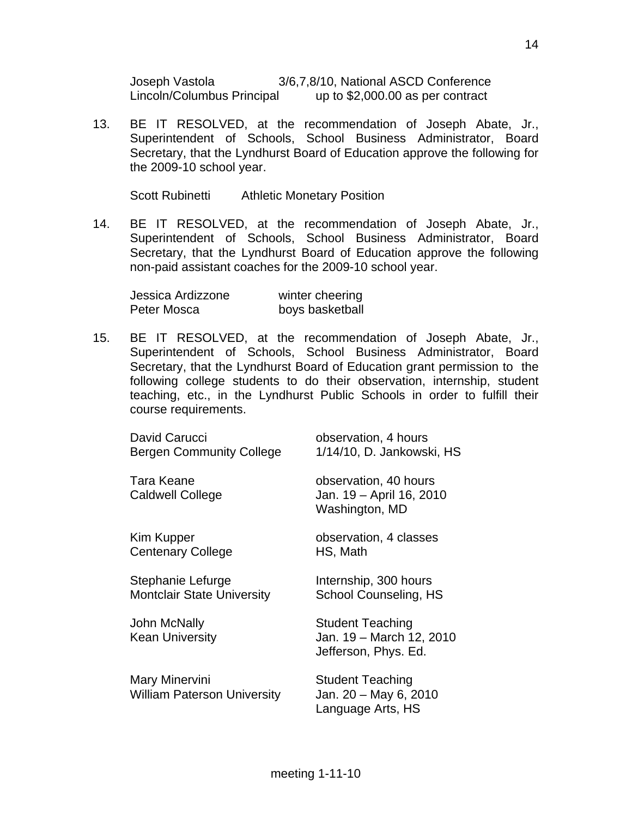Joseph Vastola 3/6,7,8/10, National ASCD Conference Lincoln/Columbus Principal up to \$2,000.00 as per contract

13. BE IT RESOLVED, at the recommendation of Joseph Abate, Jr., Superintendent of Schools, School Business Administrator, Board Secretary, that the Lyndhurst Board of Education approve the following for the 2009-10 school year.

Scott Rubinetti Athletic Monetary Position

14. BE IT RESOLVED, at the recommendation of Joseph Abate, Jr., Superintendent of Schools, School Business Administrator, Board Secretary, that the Lyndhurst Board of Education approve the following non-paid assistant coaches for the 2009-10 school year.

| Jessica Ardizzone | winter cheering |
|-------------------|-----------------|
| Peter Mosca       | boys basketball |

15. BE IT RESOLVED, at the recommendation of Joseph Abate, Jr., Superintendent of Schools, School Business Administrator, Board Secretary, that the Lyndhurst Board of Education grant permission to the following college students to do their observation, internship, student teaching, etc., in the Lyndhurst Public Schools in order to fulfill their course requirements.

| David Carucci<br><b>Bergen Community College</b>       | observation, 4 hours<br>1/14/10, D. Jankowski, HS                           |
|--------------------------------------------------------|-----------------------------------------------------------------------------|
| Tara Keane<br><b>Caldwell College</b>                  | observation, 40 hours<br>Jan. 19 - April 16, 2010<br>Washington, MD         |
| Kim Kupper<br><b>Centenary College</b>                 | observation, 4 classes<br>HS, Math                                          |
| Stephanie Lefurge<br><b>Montclair State University</b> | Internship, 300 hours<br><b>School Counseling, HS</b>                       |
| John McNally<br><b>Kean University</b>                 | <b>Student Teaching</b><br>Jan. 19 - March 12, 2010<br>Jefferson, Phys. Ed. |
| Mary Minervini<br><b>William Paterson University</b>   | <b>Student Teaching</b><br>Jan. 20 - May 6, 2010<br>Language Arts, HS       |